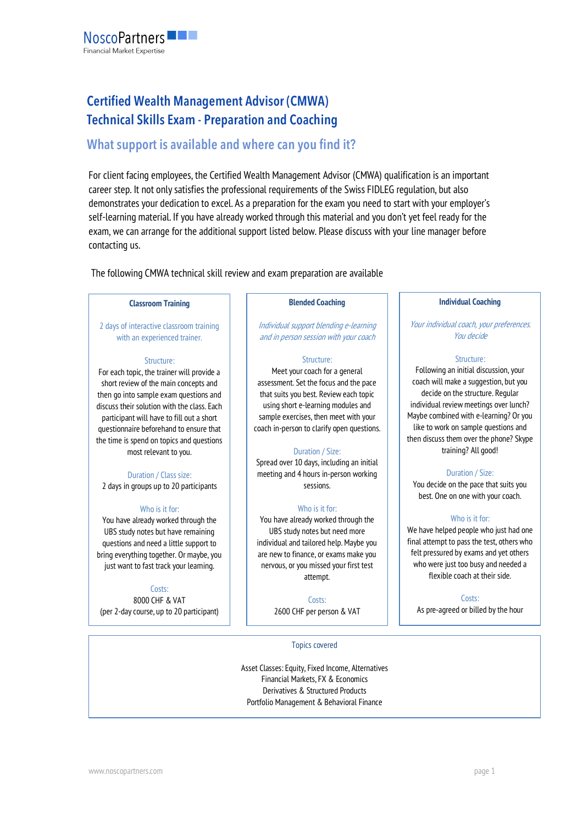

# **Certified Wealth Management Advisor (CMWA) Technical Skills Exam - Preparation and Coaching**

# **What support is available and where can you find it?**

For client facing employees, the Certified Wealth Management Advisor (CMWA) qualification is an important career step. It not only satisfies the professional requirements of the Swiss FIDLEG regulation, but also demonstrates your dedication to excel. As a preparation for the exam you need to start with your employer's self-learning material. If you have already worked through this material and you don't yet feel ready for the exam, we can arrange for the additional support listed below. Please discuss with your line manager before contacting us.

The following CMWA technical skill review and exam preparation are available

# **Classroom Training**

2 days of interactive classroom training with an experienced trainer.

#### Structure:

For each topic, the trainer will provide a short review of the main concepts and then go into sample exam questions and discuss their solution with the class. Each participant will have to fill out a short questionnaire beforehand to ensure that the time is spend on topics and questions most relevant to you.

# Duration / Class size: 2 days in groups up to 20 participants

# Who is it for:

You have already worked through the UBS study notes but have remaining questions and need a little support to bring everything together. Or maybe, you just want to fast track your learning.

Costs: 8000 CHF & VAT (per 2-day course, up to 20 participant)

# **Blended Coaching**

Individual support blending e-learning and in person session with your coach

#### Structure:

Meet your coach for a general assessment. Set the focus and the pace that suits you best. Review each topic using short e-learning modules and sample exercises, then meet with your coach in-person to clarify open questions.

# Duration / Size:

Spread over 10 days, including an initial meeting and 4 hours in-person working sessions.

# Who is it for:

You have already worked through the UBS study notes but need more individual and tailored help. Maybe you are new to finance, or exams make you nervous, or you missed your first test attempt.

> Costs: 2600 CHF per person & VAT

# **Individual Coaching**

Your individual coach, your preferences. You decide

#### Structure:

Following an initial discussion, your coach will make a suggestion, but you decide on the structure. Regular individual review meetings over lunch? Maybe combined with e-learning? Or you like to work on sample questions and then discuss them over the phone? Skype training? All good!

# Duration / Size:

You decide on the pace that suits you best. One on one with your coach.

# Who is it for:

We have helped people who just had one final attempt to pass the test, others who felt pressured by exams and yet others who were just too busy and needed a flexible coach at their side.

Costs:

As pre-agreed or billed by the hour

Topics covered

Asset Classes: Equity, Fixed Income, Alternatives Financial Markets, FX & Economics Derivatives & Structured Products Portfolio Management & Behavioral Finance